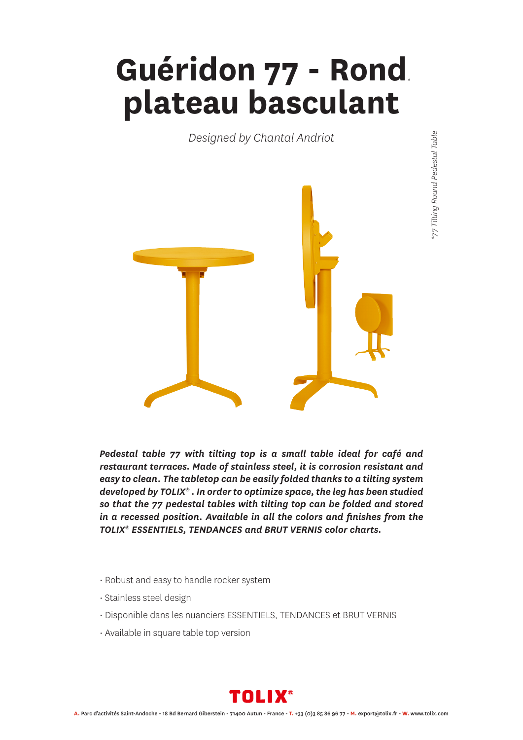## **Guéridon 77 - Rond** *\** **plateau basculant**

*Designed by Chantal Andriot*



*Pedestal table 77 with tilting top is a small table ideal for café and restaurant terraces. Made of stainless steel, it is corrosion resistant and easy to clean. The tabletop can be easily folded thanks to a tilting system developed by TOLIX® . In order to optimize space, the leg has been studied so that the 77 pedestal tables with tilting top can be folded and stored in a recessed position. Available in all the colors and finishes from the TOLIX® ESSENTIELS, TENDANCES and BRUT VERNIS color charts.*

- Robust and easy to handle rocker system
- Stainless steel design
- Disponible dans les nuanciers ESSENTIELS, TENDANCES et BRUT VERNIS
- Available in square table top version